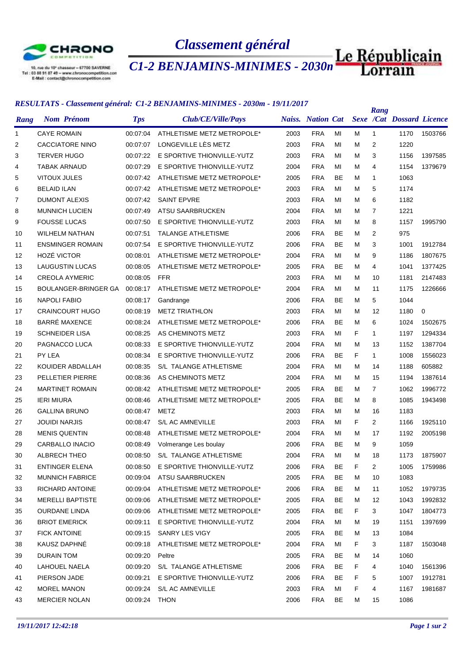

10, rue du 10° chasseur = 57700 SAVERNE<br>Tel : 03 88 91 87 49 = www.chronocompetition.com<br>E-Mail : contact@chronocompetition.com

*Classement général*

*C1-2 BENJAMINS-MINIMES - 2030m*

## *RESULTATS - Classement général: C1-2 BENJAMINS-MINIMES - 2030m - 19/11/2017*

| <b>Sexe /Cat Dossard Licence</b><br><b>Naiss.</b> Nation Cat<br><b>Nom Prénom</b><br><b>Tps</b><br>Club/CE/Ville/Pays<br>Rang<br>2003<br><b>FRA</b><br><b>CAYE ROMAIN</b><br>00:07:04<br>ATHLETISME METZ METROPOLE*<br>MI<br>м<br>1170<br>1503766<br>$\mathbf{1}$<br>1<br>LONGEVILLE LÈS METZ<br><b>FRA</b><br>2<br><b>CACCIATORE NINO</b><br>00:07:07<br>2003<br>MI<br>м<br>$\overline{2}$<br>1220<br>E SPORTIVE THIONVILLE-YUTZ<br>3<br><b>TERVER HUGO</b><br>00:07:22<br>2003<br><b>FRA</b><br>MI<br>м<br>3<br>1156<br>1397585<br>E SPORTIVE THIONVILLE-YUTZ<br><b>FRA</b><br><b>TABAK ARNAUD</b><br>00:07:29<br>2004<br>MI<br>м<br>4<br>1154<br>1379679<br>4<br><b>VITOUX JULES</b><br>00:07:42<br>ATHLETISME METZ METROPOLE*<br>2005<br><b>FRA</b><br><b>BE</b><br>м<br>1063<br>5<br>$\mathbf{1}$<br><b>FRA</b><br>5<br>1174<br>6<br><b>BELAID ILAN</b><br>ATHLETISME METZ METROPOLE*<br>2003<br>MI<br>M<br>00:07:42<br><b>FRA</b><br>6<br>1182<br>7<br><b>DUMONT ALEXIS</b><br>00:07:42<br><b>SAINT EPVRE</b><br>2003<br>MI<br>M<br>2004<br><b>FRA</b><br>1221<br>8<br><b>MUNNICH LUCIEN</b><br>00:07:49<br>ATSU SAARBRUCKEN<br>MI<br>M<br>$\overline{7}$<br>9<br><b>FOUSSE LUCAS</b><br>00:07:50<br>E SPORTIVE THIONVILLE-YUTZ<br>2003<br><b>FRA</b><br>MI<br>8<br>1157<br>м<br>1995790<br><b>FRA</b><br><b>BE</b><br>2<br>975<br>WILHELM NATHAN<br>00:07:51<br><b>TALANGE ATHLETISME</b><br>2006<br>м<br>10<br>E SPORTIVE THIONVILLE-YUTZ<br>2006<br><b>FRA</b><br>BE<br>3<br><b>ENSMINGER ROMAIN</b><br>00:07:54<br>M<br>1001<br>1912784<br>11<br><b>HOZÉ VICTOR</b><br>00:08:01<br>ATHLETISME METZ METROPOLE*<br>2004<br><b>FRA</b><br>MI<br>M<br>9<br>1186<br>1807675<br>12<br><b>LAUGUSTIN LUCAS</b><br><b>FRA</b><br>13<br>00:08:05<br>ATHLETISME METZ METROPOLE*<br>2005<br>BE<br>M<br>4<br>1041<br>1377425<br><b>FFR</b><br><b>CREOLA AYMERIC</b><br>00:08:05<br>2003<br><b>FRA</b><br>MI<br>м<br>1181<br>2147483<br>14<br>10<br><b>FRA</b><br>BOULANGER-BRINGER GA<br>00:08:17<br>ATHLETISME METZ METROPOLE*<br>2004<br>MI<br>м<br>11<br>1175<br>1226666<br>15<br><b>FRA</b><br>5<br>1044<br><b>NAPOLI FABIO</b><br>00:08:17<br>2006<br>BE<br>м<br>16<br>Gandrange<br>$\mathbf 0$<br>17<br><b>CRAINCOURT HUGO</b><br>00:08:19<br><b>METZ TRIATHLON</b><br>2003<br><b>FRA</b><br>MI<br>M<br>12<br>1180<br><b>BARRÉ MAXENCE</b><br><b>FRA</b><br>BE<br>18<br>00:08:24<br>ATHLETISME METZ METROPOLE*<br>2006<br>M<br>6<br>1024<br>1502675<br><b>SCHNEIDER LISA</b><br>00:08:25<br>AS CHEMINOTS METZ<br>2003<br><b>FRA</b><br>MI<br>F<br>1197<br>1294334<br>19<br>1.<br>20<br>PAGNACCO LUCA<br>00:08:33<br>E SPORTIVE THIONVILLE-YUTZ<br>2004<br><b>FRA</b><br>MI<br>M<br>13<br>1152<br>1387704<br>PY LEA<br><b>FRA</b><br>BE<br>F<br>1556023<br>21<br>00:08:34<br>E SPORTIVE THIONVILLE-YUTZ<br>2006<br>$\mathbf{1}$<br>1008<br>605882<br>22<br>KOUIDER ABDALLAH<br>00:08:35<br>S/L TALANGE ATHLETISME<br>2004<br><b>FRA</b><br>MI<br>м<br>1188<br>14<br><b>FRA</b><br>1387614<br>23<br>PELLETIER PIERRE<br>00:08:36<br>AS CHEMINOTS METZ<br>2004<br>MI<br>M<br>15<br>1194<br><b>FRA</b><br>BE<br><b>MARTINET ROMAIN</b><br>ATHLETISME METZ METROPOLE*<br>2005<br>M<br>$\overline{7}$<br>1062<br>1996772<br>24<br>00:08:42<br><b>IERI MIURA</b><br>ATHLETISME METZ METROPOLE*<br>2005<br><b>FRA</b><br><b>BE</b><br>00:08:46<br>м<br>8<br>1085<br>1943498<br>25<br>1183<br>26<br><b>GALLINA BRUNO</b><br>00:08:47<br>METZ<br>2003<br><b>FRA</b><br>MI<br>16<br>м<br><b>FRA</b><br>F<br>27<br><b>JOUIDI NARJIS</b><br>00:08:47<br>S/L AC AMNEVILLE<br>2003<br>MI<br>$\overline{2}$<br>1166<br>1925110<br>2004<br><b>FRA</b><br>2005198<br>28<br><b>MENIS QUENTIN</b><br>00:08:48<br>ATHLETISME METZ METROPOLE*<br>MI<br>M<br>1192<br>17<br>CARBALLO INACIO<br>2006<br><b>FRA</b><br><b>BE</b><br>M<br>9<br>1059<br>29<br>00:08:49<br>Volmerange Les boulay<br><b>ALBRECH THEO</b><br>2004<br><b>FRA</b><br>30<br>00:08:50<br>S/L TALANGE ATHLETISME<br>ΜI<br>18<br>1173<br>1875907<br>м<br>E SPORTIVE THIONVILLE-YUTZ<br>2006<br><b>FRA</b><br>BE<br>31<br>ENTINGER ELENA<br>00:08:50<br>F<br>2<br>1005<br>1759986<br><b>FRA</b><br>BE<br>1083<br>32<br><b>MUNNICH FABRICE</b><br>00:09:04<br>ATSU SAARBRUCKEN<br>2005<br>M<br>10<br>RICHARD ANTOINE<br>ATHLETISME METZ METROPOLE*<br>2006<br><b>FRA</b><br>BE<br>1052<br>33<br>00:09:04<br>м<br>11<br>1979735<br><b>MERELLI BAPTISTE</b><br>ATHLETISME METZ METROPOLE*<br><b>FRA</b><br>BE<br>34<br>00:09:06<br>2005<br>м<br>12<br>1043<br>1992832<br><b>OURDANE LINDA</b><br>ATHLETISME METZ METROPOLE*<br><b>FRA</b><br>BE<br>35<br>00:09:06<br>2005<br>F.<br>3<br>1047<br>1804773<br><b>BRIOT EMERICK</b><br>E SPORTIVE THIONVILLE-YUTZ<br><b>FRA</b><br>00:09:11<br>2004<br>МI<br>м<br>19<br>1151<br>1397699<br>36<br><b>FICK ANTOINE</b><br><b>FRA</b><br>BE<br>1084<br>37<br>00:09:15<br>SANRY LES VIGY<br>2005<br>м<br>13<br>KAUSZ DAPHNÉ<br>ATHLETISME METZ METROPOLE*<br>2004<br><b>FRA</b><br>MI<br>F.<br>00:09:18<br>3<br>1187<br>1503048<br>38<br>DURAIN TOM<br>2005<br><b>FRA</b><br>BE<br>1060<br>39<br>00:09:20<br>Peltre<br>м<br>14<br>S/L TALANGE ATHLETISME<br>2006<br><b>FRA</b><br>BE<br>LAHOUEL NAELA<br>00:09:20<br>F.<br>4<br>1040<br>1561396<br>40<br>E SPORTIVE THIONVILLE-YUTZ<br><b>FRA</b><br>BE<br>41<br>PIERSON JADE<br>00:09:21<br>2006<br>F<br>5<br>1007<br>1912781<br>MOREL MANON<br>S/L AC AMNEVILLE<br>2003<br><b>FRA</b><br>F<br>1981687<br>42<br>00:09:24<br>МI<br>4<br>1167<br>00:09:24 THON |    |                      | кезослатэ - сшзетет generui. Ст-2 Белудиннуэ-инутных - 20э0т - 19/11/2017 |  |      |            |    |   | Rang |      |  |
|-------------------------------------------------------------------------------------------------------------------------------------------------------------------------------------------------------------------------------------------------------------------------------------------------------------------------------------------------------------------------------------------------------------------------------------------------------------------------------------------------------------------------------------------------------------------------------------------------------------------------------------------------------------------------------------------------------------------------------------------------------------------------------------------------------------------------------------------------------------------------------------------------------------------------------------------------------------------------------------------------------------------------------------------------------------------------------------------------------------------------------------------------------------------------------------------------------------------------------------------------------------------------------------------------------------------------------------------------------------------------------------------------------------------------------------------------------------------------------------------------------------------------------------------------------------------------------------------------------------------------------------------------------------------------------------------------------------------------------------------------------------------------------------------------------------------------------------------------------------------------------------------------------------------------------------------------------------------------------------------------------------------------------------------------------------------------------------------------------------------------------------------------------------------------------------------------------------------------------------------------------------------------------------------------------------------------------------------------------------------------------------------------------------------------------------------------------------------------------------------------------------------------------------------------------------------------------------------------------------------------------------------------------------------------------------------------------------------------------------------------------------------------------------------------------------------------------------------------------------------------------------------------------------------------------------------------------------------------------------------------------------------------------------------------------------------------------------------------------------------------------------------------------------------------------------------------------------------------------------------------------------------------------------------------------------------------------------------------------------------------------------------------------------------------------------------------------------------------------------------------------------------------------------------------------------------------------------------------------------------------------------------------------------------------------------------------------------------------------------------------------------------------------------------------------------------------------------------------------------------------------------------------------------------------------------------------------------------------------------------------------------------------------------------------------------------------------------------------------------------------------------------------------------------------------------------------------------------------------------------------------------------------------------------------------------------------------------------------------------------------------------------------------------------------------------------------------------------------------------------------------------------------------------------------------------------------------------------------------------------------------------------------------------------------------------------------------------------------------------------------------------------------------------------------------------------------------------------------------------------------------------------------------------------------------------------------------------------------------------------------------------------------------------------------------------------------------------------------------------------------------------------------------------------------------------------------------------------------------------------------------------------------------------------------------------------------------------------------------------------------------------------------------------------------------------------------------------------------------------------------|----|----------------------|---------------------------------------------------------------------------|--|------|------------|----|---|------|------|--|
|                                                                                                                                                                                                                                                                                                                                                                                                                                                                                                                                                                                                                                                                                                                                                                                                                                                                                                                                                                                                                                                                                                                                                                                                                                                                                                                                                                                                                                                                                                                                                                                                                                                                                                                                                                                                                                                                                                                                                                                                                                                                                                                                                                                                                                                                                                                                                                                                                                                                                                                                                                                                                                                                                                                                                                                                                                                                                                                                                                                                                                                                                                                                                                                                                                                                                                                                                                                                                                                                                                                                                                                                                                                                                                                                                                                                                                                                                                                                                                                                                                                                                                                                                                                                                                                                                                                                                                                                                                                                                                                                                                                                                                                                                                                                                                                                                                                                                                                                                                                                                                                                                                                                                                                                                                                                                                                                                                                                                                                                                                 |    |                      |                                                                           |  |      |            |    |   |      |      |  |
|                                                                                                                                                                                                                                                                                                                                                                                                                                                                                                                                                                                                                                                                                                                                                                                                                                                                                                                                                                                                                                                                                                                                                                                                                                                                                                                                                                                                                                                                                                                                                                                                                                                                                                                                                                                                                                                                                                                                                                                                                                                                                                                                                                                                                                                                                                                                                                                                                                                                                                                                                                                                                                                                                                                                                                                                                                                                                                                                                                                                                                                                                                                                                                                                                                                                                                                                                                                                                                                                                                                                                                                                                                                                                                                                                                                                                                                                                                                                                                                                                                                                                                                                                                                                                                                                                                                                                                                                                                                                                                                                                                                                                                                                                                                                                                                                                                                                                                                                                                                                                                                                                                                                                                                                                                                                                                                                                                                                                                                                                                 |    |                      |                                                                           |  |      |            |    |   |      |      |  |
|                                                                                                                                                                                                                                                                                                                                                                                                                                                                                                                                                                                                                                                                                                                                                                                                                                                                                                                                                                                                                                                                                                                                                                                                                                                                                                                                                                                                                                                                                                                                                                                                                                                                                                                                                                                                                                                                                                                                                                                                                                                                                                                                                                                                                                                                                                                                                                                                                                                                                                                                                                                                                                                                                                                                                                                                                                                                                                                                                                                                                                                                                                                                                                                                                                                                                                                                                                                                                                                                                                                                                                                                                                                                                                                                                                                                                                                                                                                                                                                                                                                                                                                                                                                                                                                                                                                                                                                                                                                                                                                                                                                                                                                                                                                                                                                                                                                                                                                                                                                                                                                                                                                                                                                                                                                                                                                                                                                                                                                                                                 |    |                      |                                                                           |  |      |            |    |   |      |      |  |
|                                                                                                                                                                                                                                                                                                                                                                                                                                                                                                                                                                                                                                                                                                                                                                                                                                                                                                                                                                                                                                                                                                                                                                                                                                                                                                                                                                                                                                                                                                                                                                                                                                                                                                                                                                                                                                                                                                                                                                                                                                                                                                                                                                                                                                                                                                                                                                                                                                                                                                                                                                                                                                                                                                                                                                                                                                                                                                                                                                                                                                                                                                                                                                                                                                                                                                                                                                                                                                                                                                                                                                                                                                                                                                                                                                                                                                                                                                                                                                                                                                                                                                                                                                                                                                                                                                                                                                                                                                                                                                                                                                                                                                                                                                                                                                                                                                                                                                                                                                                                                                                                                                                                                                                                                                                                                                                                                                                                                                                                                                 |    |                      |                                                                           |  |      |            |    |   |      |      |  |
|                                                                                                                                                                                                                                                                                                                                                                                                                                                                                                                                                                                                                                                                                                                                                                                                                                                                                                                                                                                                                                                                                                                                                                                                                                                                                                                                                                                                                                                                                                                                                                                                                                                                                                                                                                                                                                                                                                                                                                                                                                                                                                                                                                                                                                                                                                                                                                                                                                                                                                                                                                                                                                                                                                                                                                                                                                                                                                                                                                                                                                                                                                                                                                                                                                                                                                                                                                                                                                                                                                                                                                                                                                                                                                                                                                                                                                                                                                                                                                                                                                                                                                                                                                                                                                                                                                                                                                                                                                                                                                                                                                                                                                                                                                                                                                                                                                                                                                                                                                                                                                                                                                                                                                                                                                                                                                                                                                                                                                                                                                 |    |                      |                                                                           |  |      |            |    |   |      |      |  |
|                                                                                                                                                                                                                                                                                                                                                                                                                                                                                                                                                                                                                                                                                                                                                                                                                                                                                                                                                                                                                                                                                                                                                                                                                                                                                                                                                                                                                                                                                                                                                                                                                                                                                                                                                                                                                                                                                                                                                                                                                                                                                                                                                                                                                                                                                                                                                                                                                                                                                                                                                                                                                                                                                                                                                                                                                                                                                                                                                                                                                                                                                                                                                                                                                                                                                                                                                                                                                                                                                                                                                                                                                                                                                                                                                                                                                                                                                                                                                                                                                                                                                                                                                                                                                                                                                                                                                                                                                                                                                                                                                                                                                                                                                                                                                                                                                                                                                                                                                                                                                                                                                                                                                                                                                                                                                                                                                                                                                                                                                                 |    |                      |                                                                           |  |      |            |    |   |      |      |  |
|                                                                                                                                                                                                                                                                                                                                                                                                                                                                                                                                                                                                                                                                                                                                                                                                                                                                                                                                                                                                                                                                                                                                                                                                                                                                                                                                                                                                                                                                                                                                                                                                                                                                                                                                                                                                                                                                                                                                                                                                                                                                                                                                                                                                                                                                                                                                                                                                                                                                                                                                                                                                                                                                                                                                                                                                                                                                                                                                                                                                                                                                                                                                                                                                                                                                                                                                                                                                                                                                                                                                                                                                                                                                                                                                                                                                                                                                                                                                                                                                                                                                                                                                                                                                                                                                                                                                                                                                                                                                                                                                                                                                                                                                                                                                                                                                                                                                                                                                                                                                                                                                                                                                                                                                                                                                                                                                                                                                                                                                                                 |    |                      |                                                                           |  |      |            |    |   |      |      |  |
|                                                                                                                                                                                                                                                                                                                                                                                                                                                                                                                                                                                                                                                                                                                                                                                                                                                                                                                                                                                                                                                                                                                                                                                                                                                                                                                                                                                                                                                                                                                                                                                                                                                                                                                                                                                                                                                                                                                                                                                                                                                                                                                                                                                                                                                                                                                                                                                                                                                                                                                                                                                                                                                                                                                                                                                                                                                                                                                                                                                                                                                                                                                                                                                                                                                                                                                                                                                                                                                                                                                                                                                                                                                                                                                                                                                                                                                                                                                                                                                                                                                                                                                                                                                                                                                                                                                                                                                                                                                                                                                                                                                                                                                                                                                                                                                                                                                                                                                                                                                                                                                                                                                                                                                                                                                                                                                                                                                                                                                                                                 |    |                      |                                                                           |  |      |            |    |   |      |      |  |
|                                                                                                                                                                                                                                                                                                                                                                                                                                                                                                                                                                                                                                                                                                                                                                                                                                                                                                                                                                                                                                                                                                                                                                                                                                                                                                                                                                                                                                                                                                                                                                                                                                                                                                                                                                                                                                                                                                                                                                                                                                                                                                                                                                                                                                                                                                                                                                                                                                                                                                                                                                                                                                                                                                                                                                                                                                                                                                                                                                                                                                                                                                                                                                                                                                                                                                                                                                                                                                                                                                                                                                                                                                                                                                                                                                                                                                                                                                                                                                                                                                                                                                                                                                                                                                                                                                                                                                                                                                                                                                                                                                                                                                                                                                                                                                                                                                                                                                                                                                                                                                                                                                                                                                                                                                                                                                                                                                                                                                                                                                 |    |                      |                                                                           |  |      |            |    |   |      |      |  |
|                                                                                                                                                                                                                                                                                                                                                                                                                                                                                                                                                                                                                                                                                                                                                                                                                                                                                                                                                                                                                                                                                                                                                                                                                                                                                                                                                                                                                                                                                                                                                                                                                                                                                                                                                                                                                                                                                                                                                                                                                                                                                                                                                                                                                                                                                                                                                                                                                                                                                                                                                                                                                                                                                                                                                                                                                                                                                                                                                                                                                                                                                                                                                                                                                                                                                                                                                                                                                                                                                                                                                                                                                                                                                                                                                                                                                                                                                                                                                                                                                                                                                                                                                                                                                                                                                                                                                                                                                                                                                                                                                                                                                                                                                                                                                                                                                                                                                                                                                                                                                                                                                                                                                                                                                                                                                                                                                                                                                                                                                                 |    |                      |                                                                           |  |      |            |    |   |      |      |  |
|                                                                                                                                                                                                                                                                                                                                                                                                                                                                                                                                                                                                                                                                                                                                                                                                                                                                                                                                                                                                                                                                                                                                                                                                                                                                                                                                                                                                                                                                                                                                                                                                                                                                                                                                                                                                                                                                                                                                                                                                                                                                                                                                                                                                                                                                                                                                                                                                                                                                                                                                                                                                                                                                                                                                                                                                                                                                                                                                                                                                                                                                                                                                                                                                                                                                                                                                                                                                                                                                                                                                                                                                                                                                                                                                                                                                                                                                                                                                                                                                                                                                                                                                                                                                                                                                                                                                                                                                                                                                                                                                                                                                                                                                                                                                                                                                                                                                                                                                                                                                                                                                                                                                                                                                                                                                                                                                                                                                                                                                                                 |    |                      |                                                                           |  |      |            |    |   |      |      |  |
|                                                                                                                                                                                                                                                                                                                                                                                                                                                                                                                                                                                                                                                                                                                                                                                                                                                                                                                                                                                                                                                                                                                                                                                                                                                                                                                                                                                                                                                                                                                                                                                                                                                                                                                                                                                                                                                                                                                                                                                                                                                                                                                                                                                                                                                                                                                                                                                                                                                                                                                                                                                                                                                                                                                                                                                                                                                                                                                                                                                                                                                                                                                                                                                                                                                                                                                                                                                                                                                                                                                                                                                                                                                                                                                                                                                                                                                                                                                                                                                                                                                                                                                                                                                                                                                                                                                                                                                                                                                                                                                                                                                                                                                                                                                                                                                                                                                                                                                                                                                                                                                                                                                                                                                                                                                                                                                                                                                                                                                                                                 |    |                      |                                                                           |  |      |            |    |   |      |      |  |
|                                                                                                                                                                                                                                                                                                                                                                                                                                                                                                                                                                                                                                                                                                                                                                                                                                                                                                                                                                                                                                                                                                                                                                                                                                                                                                                                                                                                                                                                                                                                                                                                                                                                                                                                                                                                                                                                                                                                                                                                                                                                                                                                                                                                                                                                                                                                                                                                                                                                                                                                                                                                                                                                                                                                                                                                                                                                                                                                                                                                                                                                                                                                                                                                                                                                                                                                                                                                                                                                                                                                                                                                                                                                                                                                                                                                                                                                                                                                                                                                                                                                                                                                                                                                                                                                                                                                                                                                                                                                                                                                                                                                                                                                                                                                                                                                                                                                                                                                                                                                                                                                                                                                                                                                                                                                                                                                                                                                                                                                                                 |    |                      |                                                                           |  |      |            |    |   |      |      |  |
|                                                                                                                                                                                                                                                                                                                                                                                                                                                                                                                                                                                                                                                                                                                                                                                                                                                                                                                                                                                                                                                                                                                                                                                                                                                                                                                                                                                                                                                                                                                                                                                                                                                                                                                                                                                                                                                                                                                                                                                                                                                                                                                                                                                                                                                                                                                                                                                                                                                                                                                                                                                                                                                                                                                                                                                                                                                                                                                                                                                                                                                                                                                                                                                                                                                                                                                                                                                                                                                                                                                                                                                                                                                                                                                                                                                                                                                                                                                                                                                                                                                                                                                                                                                                                                                                                                                                                                                                                                                                                                                                                                                                                                                                                                                                                                                                                                                                                                                                                                                                                                                                                                                                                                                                                                                                                                                                                                                                                                                                                                 |    |                      |                                                                           |  |      |            |    |   |      |      |  |
|                                                                                                                                                                                                                                                                                                                                                                                                                                                                                                                                                                                                                                                                                                                                                                                                                                                                                                                                                                                                                                                                                                                                                                                                                                                                                                                                                                                                                                                                                                                                                                                                                                                                                                                                                                                                                                                                                                                                                                                                                                                                                                                                                                                                                                                                                                                                                                                                                                                                                                                                                                                                                                                                                                                                                                                                                                                                                                                                                                                                                                                                                                                                                                                                                                                                                                                                                                                                                                                                                                                                                                                                                                                                                                                                                                                                                                                                                                                                                                                                                                                                                                                                                                                                                                                                                                                                                                                                                                                                                                                                                                                                                                                                                                                                                                                                                                                                                                                                                                                                                                                                                                                                                                                                                                                                                                                                                                                                                                                                                                 |    |                      |                                                                           |  |      |            |    |   |      |      |  |
|                                                                                                                                                                                                                                                                                                                                                                                                                                                                                                                                                                                                                                                                                                                                                                                                                                                                                                                                                                                                                                                                                                                                                                                                                                                                                                                                                                                                                                                                                                                                                                                                                                                                                                                                                                                                                                                                                                                                                                                                                                                                                                                                                                                                                                                                                                                                                                                                                                                                                                                                                                                                                                                                                                                                                                                                                                                                                                                                                                                                                                                                                                                                                                                                                                                                                                                                                                                                                                                                                                                                                                                                                                                                                                                                                                                                                                                                                                                                                                                                                                                                                                                                                                                                                                                                                                                                                                                                                                                                                                                                                                                                                                                                                                                                                                                                                                                                                                                                                                                                                                                                                                                                                                                                                                                                                                                                                                                                                                                                                                 |    |                      |                                                                           |  |      |            |    |   |      |      |  |
|                                                                                                                                                                                                                                                                                                                                                                                                                                                                                                                                                                                                                                                                                                                                                                                                                                                                                                                                                                                                                                                                                                                                                                                                                                                                                                                                                                                                                                                                                                                                                                                                                                                                                                                                                                                                                                                                                                                                                                                                                                                                                                                                                                                                                                                                                                                                                                                                                                                                                                                                                                                                                                                                                                                                                                                                                                                                                                                                                                                                                                                                                                                                                                                                                                                                                                                                                                                                                                                                                                                                                                                                                                                                                                                                                                                                                                                                                                                                                                                                                                                                                                                                                                                                                                                                                                                                                                                                                                                                                                                                                                                                                                                                                                                                                                                                                                                                                                                                                                                                                                                                                                                                                                                                                                                                                                                                                                                                                                                                                                 |    |                      |                                                                           |  |      |            |    |   |      |      |  |
|                                                                                                                                                                                                                                                                                                                                                                                                                                                                                                                                                                                                                                                                                                                                                                                                                                                                                                                                                                                                                                                                                                                                                                                                                                                                                                                                                                                                                                                                                                                                                                                                                                                                                                                                                                                                                                                                                                                                                                                                                                                                                                                                                                                                                                                                                                                                                                                                                                                                                                                                                                                                                                                                                                                                                                                                                                                                                                                                                                                                                                                                                                                                                                                                                                                                                                                                                                                                                                                                                                                                                                                                                                                                                                                                                                                                                                                                                                                                                                                                                                                                                                                                                                                                                                                                                                                                                                                                                                                                                                                                                                                                                                                                                                                                                                                                                                                                                                                                                                                                                                                                                                                                                                                                                                                                                                                                                                                                                                                                                                 |    |                      |                                                                           |  |      |            |    |   |      |      |  |
|                                                                                                                                                                                                                                                                                                                                                                                                                                                                                                                                                                                                                                                                                                                                                                                                                                                                                                                                                                                                                                                                                                                                                                                                                                                                                                                                                                                                                                                                                                                                                                                                                                                                                                                                                                                                                                                                                                                                                                                                                                                                                                                                                                                                                                                                                                                                                                                                                                                                                                                                                                                                                                                                                                                                                                                                                                                                                                                                                                                                                                                                                                                                                                                                                                                                                                                                                                                                                                                                                                                                                                                                                                                                                                                                                                                                                                                                                                                                                                                                                                                                                                                                                                                                                                                                                                                                                                                                                                                                                                                                                                                                                                                                                                                                                                                                                                                                                                                                                                                                                                                                                                                                                                                                                                                                                                                                                                                                                                                                                                 |    |                      |                                                                           |  |      |            |    |   |      |      |  |
|                                                                                                                                                                                                                                                                                                                                                                                                                                                                                                                                                                                                                                                                                                                                                                                                                                                                                                                                                                                                                                                                                                                                                                                                                                                                                                                                                                                                                                                                                                                                                                                                                                                                                                                                                                                                                                                                                                                                                                                                                                                                                                                                                                                                                                                                                                                                                                                                                                                                                                                                                                                                                                                                                                                                                                                                                                                                                                                                                                                                                                                                                                                                                                                                                                                                                                                                                                                                                                                                                                                                                                                                                                                                                                                                                                                                                                                                                                                                                                                                                                                                                                                                                                                                                                                                                                                                                                                                                                                                                                                                                                                                                                                                                                                                                                                                                                                                                                                                                                                                                                                                                                                                                                                                                                                                                                                                                                                                                                                                                                 |    |                      |                                                                           |  |      |            |    |   |      |      |  |
|                                                                                                                                                                                                                                                                                                                                                                                                                                                                                                                                                                                                                                                                                                                                                                                                                                                                                                                                                                                                                                                                                                                                                                                                                                                                                                                                                                                                                                                                                                                                                                                                                                                                                                                                                                                                                                                                                                                                                                                                                                                                                                                                                                                                                                                                                                                                                                                                                                                                                                                                                                                                                                                                                                                                                                                                                                                                                                                                                                                                                                                                                                                                                                                                                                                                                                                                                                                                                                                                                                                                                                                                                                                                                                                                                                                                                                                                                                                                                                                                                                                                                                                                                                                                                                                                                                                                                                                                                                                                                                                                                                                                                                                                                                                                                                                                                                                                                                                                                                                                                                                                                                                                                                                                                                                                                                                                                                                                                                                                                                 |    |                      |                                                                           |  |      |            |    |   |      |      |  |
|                                                                                                                                                                                                                                                                                                                                                                                                                                                                                                                                                                                                                                                                                                                                                                                                                                                                                                                                                                                                                                                                                                                                                                                                                                                                                                                                                                                                                                                                                                                                                                                                                                                                                                                                                                                                                                                                                                                                                                                                                                                                                                                                                                                                                                                                                                                                                                                                                                                                                                                                                                                                                                                                                                                                                                                                                                                                                                                                                                                                                                                                                                                                                                                                                                                                                                                                                                                                                                                                                                                                                                                                                                                                                                                                                                                                                                                                                                                                                                                                                                                                                                                                                                                                                                                                                                                                                                                                                                                                                                                                                                                                                                                                                                                                                                                                                                                                                                                                                                                                                                                                                                                                                                                                                                                                                                                                                                                                                                                                                                 |    |                      |                                                                           |  |      |            |    |   |      |      |  |
|                                                                                                                                                                                                                                                                                                                                                                                                                                                                                                                                                                                                                                                                                                                                                                                                                                                                                                                                                                                                                                                                                                                                                                                                                                                                                                                                                                                                                                                                                                                                                                                                                                                                                                                                                                                                                                                                                                                                                                                                                                                                                                                                                                                                                                                                                                                                                                                                                                                                                                                                                                                                                                                                                                                                                                                                                                                                                                                                                                                                                                                                                                                                                                                                                                                                                                                                                                                                                                                                                                                                                                                                                                                                                                                                                                                                                                                                                                                                                                                                                                                                                                                                                                                                                                                                                                                                                                                                                                                                                                                                                                                                                                                                                                                                                                                                                                                                                                                                                                                                                                                                                                                                                                                                                                                                                                                                                                                                                                                                                                 |    |                      |                                                                           |  |      |            |    |   |      |      |  |
|                                                                                                                                                                                                                                                                                                                                                                                                                                                                                                                                                                                                                                                                                                                                                                                                                                                                                                                                                                                                                                                                                                                                                                                                                                                                                                                                                                                                                                                                                                                                                                                                                                                                                                                                                                                                                                                                                                                                                                                                                                                                                                                                                                                                                                                                                                                                                                                                                                                                                                                                                                                                                                                                                                                                                                                                                                                                                                                                                                                                                                                                                                                                                                                                                                                                                                                                                                                                                                                                                                                                                                                                                                                                                                                                                                                                                                                                                                                                                                                                                                                                                                                                                                                                                                                                                                                                                                                                                                                                                                                                                                                                                                                                                                                                                                                                                                                                                                                                                                                                                                                                                                                                                                                                                                                                                                                                                                                                                                                                                                 |    |                      |                                                                           |  |      |            |    |   |      |      |  |
|                                                                                                                                                                                                                                                                                                                                                                                                                                                                                                                                                                                                                                                                                                                                                                                                                                                                                                                                                                                                                                                                                                                                                                                                                                                                                                                                                                                                                                                                                                                                                                                                                                                                                                                                                                                                                                                                                                                                                                                                                                                                                                                                                                                                                                                                                                                                                                                                                                                                                                                                                                                                                                                                                                                                                                                                                                                                                                                                                                                                                                                                                                                                                                                                                                                                                                                                                                                                                                                                                                                                                                                                                                                                                                                                                                                                                                                                                                                                                                                                                                                                                                                                                                                                                                                                                                                                                                                                                                                                                                                                                                                                                                                                                                                                                                                                                                                                                                                                                                                                                                                                                                                                                                                                                                                                                                                                                                                                                                                                                                 |    |                      |                                                                           |  |      |            |    |   |      |      |  |
|                                                                                                                                                                                                                                                                                                                                                                                                                                                                                                                                                                                                                                                                                                                                                                                                                                                                                                                                                                                                                                                                                                                                                                                                                                                                                                                                                                                                                                                                                                                                                                                                                                                                                                                                                                                                                                                                                                                                                                                                                                                                                                                                                                                                                                                                                                                                                                                                                                                                                                                                                                                                                                                                                                                                                                                                                                                                                                                                                                                                                                                                                                                                                                                                                                                                                                                                                                                                                                                                                                                                                                                                                                                                                                                                                                                                                                                                                                                                                                                                                                                                                                                                                                                                                                                                                                                                                                                                                                                                                                                                                                                                                                                                                                                                                                                                                                                                                                                                                                                                                                                                                                                                                                                                                                                                                                                                                                                                                                                                                                 |    |                      |                                                                           |  |      |            |    |   |      |      |  |
|                                                                                                                                                                                                                                                                                                                                                                                                                                                                                                                                                                                                                                                                                                                                                                                                                                                                                                                                                                                                                                                                                                                                                                                                                                                                                                                                                                                                                                                                                                                                                                                                                                                                                                                                                                                                                                                                                                                                                                                                                                                                                                                                                                                                                                                                                                                                                                                                                                                                                                                                                                                                                                                                                                                                                                                                                                                                                                                                                                                                                                                                                                                                                                                                                                                                                                                                                                                                                                                                                                                                                                                                                                                                                                                                                                                                                                                                                                                                                                                                                                                                                                                                                                                                                                                                                                                                                                                                                                                                                                                                                                                                                                                                                                                                                                                                                                                                                                                                                                                                                                                                                                                                                                                                                                                                                                                                                                                                                                                                                                 |    |                      |                                                                           |  |      |            |    |   |      |      |  |
|                                                                                                                                                                                                                                                                                                                                                                                                                                                                                                                                                                                                                                                                                                                                                                                                                                                                                                                                                                                                                                                                                                                                                                                                                                                                                                                                                                                                                                                                                                                                                                                                                                                                                                                                                                                                                                                                                                                                                                                                                                                                                                                                                                                                                                                                                                                                                                                                                                                                                                                                                                                                                                                                                                                                                                                                                                                                                                                                                                                                                                                                                                                                                                                                                                                                                                                                                                                                                                                                                                                                                                                                                                                                                                                                                                                                                                                                                                                                                                                                                                                                                                                                                                                                                                                                                                                                                                                                                                                                                                                                                                                                                                                                                                                                                                                                                                                                                                                                                                                                                                                                                                                                                                                                                                                                                                                                                                                                                                                                                                 |    |                      |                                                                           |  |      |            |    |   |      |      |  |
|                                                                                                                                                                                                                                                                                                                                                                                                                                                                                                                                                                                                                                                                                                                                                                                                                                                                                                                                                                                                                                                                                                                                                                                                                                                                                                                                                                                                                                                                                                                                                                                                                                                                                                                                                                                                                                                                                                                                                                                                                                                                                                                                                                                                                                                                                                                                                                                                                                                                                                                                                                                                                                                                                                                                                                                                                                                                                                                                                                                                                                                                                                                                                                                                                                                                                                                                                                                                                                                                                                                                                                                                                                                                                                                                                                                                                                                                                                                                                                                                                                                                                                                                                                                                                                                                                                                                                                                                                                                                                                                                                                                                                                                                                                                                                                                                                                                                                                                                                                                                                                                                                                                                                                                                                                                                                                                                                                                                                                                                                                 |    |                      |                                                                           |  |      |            |    |   |      |      |  |
|                                                                                                                                                                                                                                                                                                                                                                                                                                                                                                                                                                                                                                                                                                                                                                                                                                                                                                                                                                                                                                                                                                                                                                                                                                                                                                                                                                                                                                                                                                                                                                                                                                                                                                                                                                                                                                                                                                                                                                                                                                                                                                                                                                                                                                                                                                                                                                                                                                                                                                                                                                                                                                                                                                                                                                                                                                                                                                                                                                                                                                                                                                                                                                                                                                                                                                                                                                                                                                                                                                                                                                                                                                                                                                                                                                                                                                                                                                                                                                                                                                                                                                                                                                                                                                                                                                                                                                                                                                                                                                                                                                                                                                                                                                                                                                                                                                                                                                                                                                                                                                                                                                                                                                                                                                                                                                                                                                                                                                                                                                 |    |                      |                                                                           |  |      |            |    |   |      |      |  |
|                                                                                                                                                                                                                                                                                                                                                                                                                                                                                                                                                                                                                                                                                                                                                                                                                                                                                                                                                                                                                                                                                                                                                                                                                                                                                                                                                                                                                                                                                                                                                                                                                                                                                                                                                                                                                                                                                                                                                                                                                                                                                                                                                                                                                                                                                                                                                                                                                                                                                                                                                                                                                                                                                                                                                                                                                                                                                                                                                                                                                                                                                                                                                                                                                                                                                                                                                                                                                                                                                                                                                                                                                                                                                                                                                                                                                                                                                                                                                                                                                                                                                                                                                                                                                                                                                                                                                                                                                                                                                                                                                                                                                                                                                                                                                                                                                                                                                                                                                                                                                                                                                                                                                                                                                                                                                                                                                                                                                                                                                                 |    |                      |                                                                           |  |      |            |    |   |      |      |  |
|                                                                                                                                                                                                                                                                                                                                                                                                                                                                                                                                                                                                                                                                                                                                                                                                                                                                                                                                                                                                                                                                                                                                                                                                                                                                                                                                                                                                                                                                                                                                                                                                                                                                                                                                                                                                                                                                                                                                                                                                                                                                                                                                                                                                                                                                                                                                                                                                                                                                                                                                                                                                                                                                                                                                                                                                                                                                                                                                                                                                                                                                                                                                                                                                                                                                                                                                                                                                                                                                                                                                                                                                                                                                                                                                                                                                                                                                                                                                                                                                                                                                                                                                                                                                                                                                                                                                                                                                                                                                                                                                                                                                                                                                                                                                                                                                                                                                                                                                                                                                                                                                                                                                                                                                                                                                                                                                                                                                                                                                                                 |    |                      |                                                                           |  |      |            |    |   |      |      |  |
|                                                                                                                                                                                                                                                                                                                                                                                                                                                                                                                                                                                                                                                                                                                                                                                                                                                                                                                                                                                                                                                                                                                                                                                                                                                                                                                                                                                                                                                                                                                                                                                                                                                                                                                                                                                                                                                                                                                                                                                                                                                                                                                                                                                                                                                                                                                                                                                                                                                                                                                                                                                                                                                                                                                                                                                                                                                                                                                                                                                                                                                                                                                                                                                                                                                                                                                                                                                                                                                                                                                                                                                                                                                                                                                                                                                                                                                                                                                                                                                                                                                                                                                                                                                                                                                                                                                                                                                                                                                                                                                                                                                                                                                                                                                                                                                                                                                                                                                                                                                                                                                                                                                                                                                                                                                                                                                                                                                                                                                                                                 |    |                      |                                                                           |  |      |            |    |   |      |      |  |
|                                                                                                                                                                                                                                                                                                                                                                                                                                                                                                                                                                                                                                                                                                                                                                                                                                                                                                                                                                                                                                                                                                                                                                                                                                                                                                                                                                                                                                                                                                                                                                                                                                                                                                                                                                                                                                                                                                                                                                                                                                                                                                                                                                                                                                                                                                                                                                                                                                                                                                                                                                                                                                                                                                                                                                                                                                                                                                                                                                                                                                                                                                                                                                                                                                                                                                                                                                                                                                                                                                                                                                                                                                                                                                                                                                                                                                                                                                                                                                                                                                                                                                                                                                                                                                                                                                                                                                                                                                                                                                                                                                                                                                                                                                                                                                                                                                                                                                                                                                                                                                                                                                                                                                                                                                                                                                                                                                                                                                                                                                 |    |                      |                                                                           |  |      |            |    |   |      |      |  |
|                                                                                                                                                                                                                                                                                                                                                                                                                                                                                                                                                                                                                                                                                                                                                                                                                                                                                                                                                                                                                                                                                                                                                                                                                                                                                                                                                                                                                                                                                                                                                                                                                                                                                                                                                                                                                                                                                                                                                                                                                                                                                                                                                                                                                                                                                                                                                                                                                                                                                                                                                                                                                                                                                                                                                                                                                                                                                                                                                                                                                                                                                                                                                                                                                                                                                                                                                                                                                                                                                                                                                                                                                                                                                                                                                                                                                                                                                                                                                                                                                                                                                                                                                                                                                                                                                                                                                                                                                                                                                                                                                                                                                                                                                                                                                                                                                                                                                                                                                                                                                                                                                                                                                                                                                                                                                                                                                                                                                                                                                                 |    |                      |                                                                           |  |      |            |    |   |      |      |  |
|                                                                                                                                                                                                                                                                                                                                                                                                                                                                                                                                                                                                                                                                                                                                                                                                                                                                                                                                                                                                                                                                                                                                                                                                                                                                                                                                                                                                                                                                                                                                                                                                                                                                                                                                                                                                                                                                                                                                                                                                                                                                                                                                                                                                                                                                                                                                                                                                                                                                                                                                                                                                                                                                                                                                                                                                                                                                                                                                                                                                                                                                                                                                                                                                                                                                                                                                                                                                                                                                                                                                                                                                                                                                                                                                                                                                                                                                                                                                                                                                                                                                                                                                                                                                                                                                                                                                                                                                                                                                                                                                                                                                                                                                                                                                                                                                                                                                                                                                                                                                                                                                                                                                                                                                                                                                                                                                                                                                                                                                                                 |    |                      |                                                                           |  |      |            |    |   |      |      |  |
|                                                                                                                                                                                                                                                                                                                                                                                                                                                                                                                                                                                                                                                                                                                                                                                                                                                                                                                                                                                                                                                                                                                                                                                                                                                                                                                                                                                                                                                                                                                                                                                                                                                                                                                                                                                                                                                                                                                                                                                                                                                                                                                                                                                                                                                                                                                                                                                                                                                                                                                                                                                                                                                                                                                                                                                                                                                                                                                                                                                                                                                                                                                                                                                                                                                                                                                                                                                                                                                                                                                                                                                                                                                                                                                                                                                                                                                                                                                                                                                                                                                                                                                                                                                                                                                                                                                                                                                                                                                                                                                                                                                                                                                                                                                                                                                                                                                                                                                                                                                                                                                                                                                                                                                                                                                                                                                                                                                                                                                                                                 |    |                      |                                                                           |  |      |            |    |   |      |      |  |
|                                                                                                                                                                                                                                                                                                                                                                                                                                                                                                                                                                                                                                                                                                                                                                                                                                                                                                                                                                                                                                                                                                                                                                                                                                                                                                                                                                                                                                                                                                                                                                                                                                                                                                                                                                                                                                                                                                                                                                                                                                                                                                                                                                                                                                                                                                                                                                                                                                                                                                                                                                                                                                                                                                                                                                                                                                                                                                                                                                                                                                                                                                                                                                                                                                                                                                                                                                                                                                                                                                                                                                                                                                                                                                                                                                                                                                                                                                                                                                                                                                                                                                                                                                                                                                                                                                                                                                                                                                                                                                                                                                                                                                                                                                                                                                                                                                                                                                                                                                                                                                                                                                                                                                                                                                                                                                                                                                                                                                                                                                 |    |                      |                                                                           |  |      |            |    |   |      |      |  |
|                                                                                                                                                                                                                                                                                                                                                                                                                                                                                                                                                                                                                                                                                                                                                                                                                                                                                                                                                                                                                                                                                                                                                                                                                                                                                                                                                                                                                                                                                                                                                                                                                                                                                                                                                                                                                                                                                                                                                                                                                                                                                                                                                                                                                                                                                                                                                                                                                                                                                                                                                                                                                                                                                                                                                                                                                                                                                                                                                                                                                                                                                                                                                                                                                                                                                                                                                                                                                                                                                                                                                                                                                                                                                                                                                                                                                                                                                                                                                                                                                                                                                                                                                                                                                                                                                                                                                                                                                                                                                                                                                                                                                                                                                                                                                                                                                                                                                                                                                                                                                                                                                                                                                                                                                                                                                                                                                                                                                                                                                                 |    |                      |                                                                           |  |      |            |    |   |      |      |  |
|                                                                                                                                                                                                                                                                                                                                                                                                                                                                                                                                                                                                                                                                                                                                                                                                                                                                                                                                                                                                                                                                                                                                                                                                                                                                                                                                                                                                                                                                                                                                                                                                                                                                                                                                                                                                                                                                                                                                                                                                                                                                                                                                                                                                                                                                                                                                                                                                                                                                                                                                                                                                                                                                                                                                                                                                                                                                                                                                                                                                                                                                                                                                                                                                                                                                                                                                                                                                                                                                                                                                                                                                                                                                                                                                                                                                                                                                                                                                                                                                                                                                                                                                                                                                                                                                                                                                                                                                                                                                                                                                                                                                                                                                                                                                                                                                                                                                                                                                                                                                                                                                                                                                                                                                                                                                                                                                                                                                                                                                                                 |    |                      |                                                                           |  |      |            |    |   |      |      |  |
|                                                                                                                                                                                                                                                                                                                                                                                                                                                                                                                                                                                                                                                                                                                                                                                                                                                                                                                                                                                                                                                                                                                                                                                                                                                                                                                                                                                                                                                                                                                                                                                                                                                                                                                                                                                                                                                                                                                                                                                                                                                                                                                                                                                                                                                                                                                                                                                                                                                                                                                                                                                                                                                                                                                                                                                                                                                                                                                                                                                                                                                                                                                                                                                                                                                                                                                                                                                                                                                                                                                                                                                                                                                                                                                                                                                                                                                                                                                                                                                                                                                                                                                                                                                                                                                                                                                                                                                                                                                                                                                                                                                                                                                                                                                                                                                                                                                                                                                                                                                                                                                                                                                                                                                                                                                                                                                                                                                                                                                                                                 |    |                      |                                                                           |  |      |            |    |   |      |      |  |
|                                                                                                                                                                                                                                                                                                                                                                                                                                                                                                                                                                                                                                                                                                                                                                                                                                                                                                                                                                                                                                                                                                                                                                                                                                                                                                                                                                                                                                                                                                                                                                                                                                                                                                                                                                                                                                                                                                                                                                                                                                                                                                                                                                                                                                                                                                                                                                                                                                                                                                                                                                                                                                                                                                                                                                                                                                                                                                                                                                                                                                                                                                                                                                                                                                                                                                                                                                                                                                                                                                                                                                                                                                                                                                                                                                                                                                                                                                                                                                                                                                                                                                                                                                                                                                                                                                                                                                                                                                                                                                                                                                                                                                                                                                                                                                                                                                                                                                                                                                                                                                                                                                                                                                                                                                                                                                                                                                                                                                                                                                 |    |                      |                                                                           |  |      |            |    |   |      |      |  |
|                                                                                                                                                                                                                                                                                                                                                                                                                                                                                                                                                                                                                                                                                                                                                                                                                                                                                                                                                                                                                                                                                                                                                                                                                                                                                                                                                                                                                                                                                                                                                                                                                                                                                                                                                                                                                                                                                                                                                                                                                                                                                                                                                                                                                                                                                                                                                                                                                                                                                                                                                                                                                                                                                                                                                                                                                                                                                                                                                                                                                                                                                                                                                                                                                                                                                                                                                                                                                                                                                                                                                                                                                                                                                                                                                                                                                                                                                                                                                                                                                                                                                                                                                                                                                                                                                                                                                                                                                                                                                                                                                                                                                                                                                                                                                                                                                                                                                                                                                                                                                                                                                                                                                                                                                                                                                                                                                                                                                                                                                                 |    |                      |                                                                           |  |      |            |    |   |      |      |  |
|                                                                                                                                                                                                                                                                                                                                                                                                                                                                                                                                                                                                                                                                                                                                                                                                                                                                                                                                                                                                                                                                                                                                                                                                                                                                                                                                                                                                                                                                                                                                                                                                                                                                                                                                                                                                                                                                                                                                                                                                                                                                                                                                                                                                                                                                                                                                                                                                                                                                                                                                                                                                                                                                                                                                                                                                                                                                                                                                                                                                                                                                                                                                                                                                                                                                                                                                                                                                                                                                                                                                                                                                                                                                                                                                                                                                                                                                                                                                                                                                                                                                                                                                                                                                                                                                                                                                                                                                                                                                                                                                                                                                                                                                                                                                                                                                                                                                                                                                                                                                                                                                                                                                                                                                                                                                                                                                                                                                                                                                                                 | 43 | <b>MERCIER NOLAN</b> |                                                                           |  | 2006 | <b>FRA</b> | BE | M | 15   | 1086 |  |